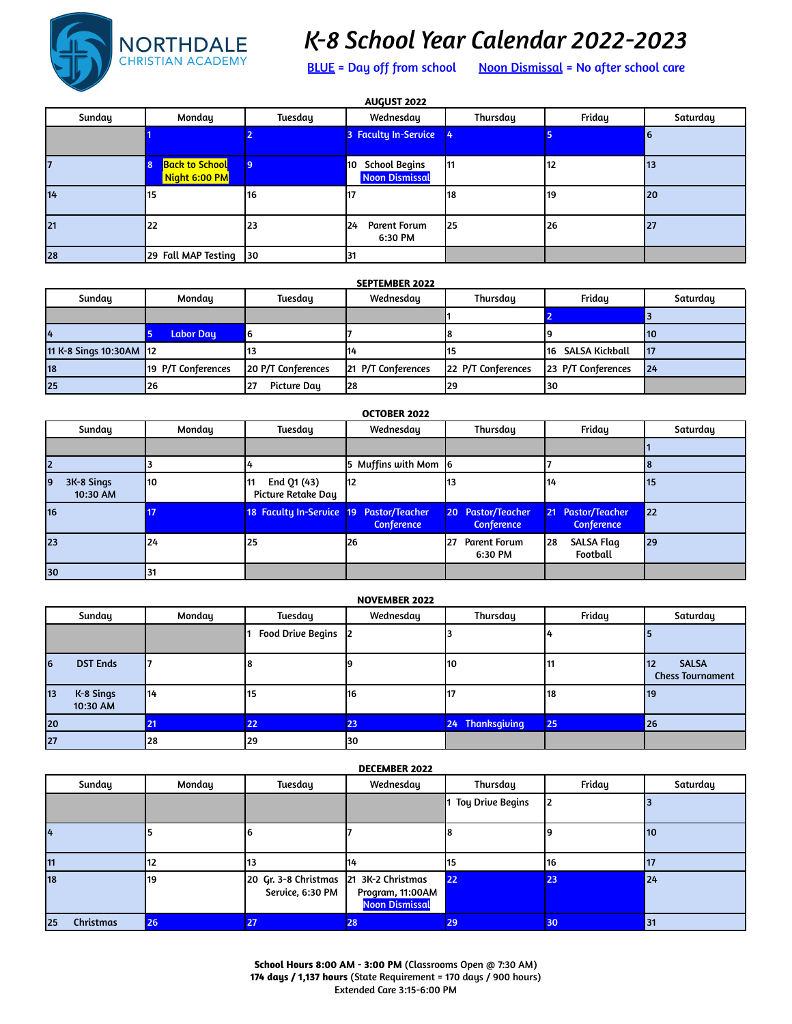

## *K-8 School Year Calendar 2022-2023*

BLUE = Day off from school Noon Dismissal = No after school care

| <b>AUGUST 2022</b> |                                        |                |                                           |          |        |          |  |
|--------------------|----------------------------------------|----------------|-------------------------------------------|----------|--------|----------|--|
| Sunday             | Monday                                 | <b>Tuesday</b> | Wednesday                                 | Thursday | Friday | Saturday |  |
|                    |                                        |                | 3 Faculty In-Service                      |          |        | 16       |  |
|                    | <b>Back to School</b><br>Night 6:00 PM | 9              | 10 School Begins<br><b>Noon Dismissal</b> | 11       | 12     | 13       |  |
| 14                 | 15                                     | 16             | 17                                        | l18      | 119    | 20       |  |
| 21                 | 22                                     | 23             | <b>Parent Forum</b><br>124<br>6:30 PM     | 125      | 26     | 27       |  |
| 28                 | 29 Fall MAP Testing 30                 |                | 31                                        |          |        |          |  |

| <b>SEPTEMBER 2022</b>   |                    |                    |                    |                    |                    |                 |  |  |
|-------------------------|--------------------|--------------------|--------------------|--------------------|--------------------|-----------------|--|--|
| Sunday                  | Monday             | Tuesday            | Wednesday          | Thursday           | Friday             | Saturday        |  |  |
|                         |                    |                    |                    |                    |                    |                 |  |  |
| 14                      | <b>Labor Day</b>   | 6                  |                    |                    |                    | <b>10</b>       |  |  |
| 11 K-8 Sings 10:30AM 12 |                    | 13                 | 114                |                    | 116 SALSA Kickball | $\overline{17}$ |  |  |
| 18                      | 19 P/T Conferences | 20 P/T Conferences | 21 P/T Conferences | 22 P/T Conferences | 23 P/T Conferences | 24              |  |  |
| 25                      | 126                | Picture Day<br>27  | 128                | 29                 | 130                |                 |  |  |

| <b>OCTOBER 2022</b>          |        |                                          |                                        |                                                      |                                        |          |  |
|------------------------------|--------|------------------------------------------|----------------------------------------|------------------------------------------------------|----------------------------------------|----------|--|
| Sunday                       | Monday | <b>Tuesday</b>                           | Wednesday                              | Thursday                                             | Friday                                 | Saturday |  |
|                              |        |                                          |                                        |                                                      |                                        |          |  |
|                              |        |                                          | 5 Muffins with Mom 6                   |                                                      |                                        |          |  |
| 3K-8 Sings<br>19<br>10:30 AM | 110    | End Q1 (43)<br>I11<br>Picture Retake Day | l12                                    | 13                                                   | 14                                     | 15       |  |
| 16                           |        | <b>18 Faculty In-Service</b>             | 19 Pastor/Teacher<br><b>Conference</b> | <b>Pastor/Teacher</b><br>$20-1$<br><b>Conference</b> | 21 Pastor/Teacher<br><b>Conference</b> | 22       |  |
| 23                           | 124    | l 25                                     | 126                                    | 27<br><b>Parent Forum</b><br>6:30 PM                 | <b>SALSA Flag</b><br>l28<br>Football   | 29       |  |
| 30                           | 31     |                                          |                                        |                                                      |                                        |          |  |

| <b>NOVEMBER 2022</b>                  |        |                     |            |                 |        |                                                      |  |  |
|---------------------------------------|--------|---------------------|------------|-----------------|--------|------------------------------------------------------|--|--|
| Sunday                                | Monday | Tuesday             | Wednesday  | Thursday        | Friday | Saturday                                             |  |  |
|                                       |        | Food Drive Begins 2 |            |                 |        |                                                      |  |  |
| <b>DST Ends</b><br><b>6</b>           |        |                     |            | 10              | 11     | <b>SALSA</b><br><b>12</b><br><b>Chess Tournament</b> |  |  |
| K-8 Sings<br>$ 13\rangle$<br>10:30 AM | 114    | 15                  | <b>116</b> |                 | 118    | 19                                                   |  |  |
| 20                                    | 21     | 22                  | 23         | 24 Thanksgiving | 25     | 26                                                   |  |  |
| 27                                    | 28     | 29                  | 130        |                 |        |                                                      |  |  |

## **DECEMBER 2022**

| Sunday          | Monday | Tuesday                                                    | Wednesday                                 | Thursday                | Friday | Saturday |
|-----------------|--------|------------------------------------------------------------|-------------------------------------------|-------------------------|--------|----------|
|                 |        |                                                            |                                           | <b>Toy Drive Begins</b> |        |          |
| 14              |        |                                                            |                                           |                         |        | 10       |
| 11              |        | 13                                                         | 114                                       | 15                      | 116    | 117      |
| 18              | 19     | 20 Gr. 3-8 Christmas 21 3K-2 Christmas<br>Service, 6:30 PM | Program, 11:00AM<br><b>Noon Dismissal</b> | 22                      | 23     | 24       |
| Christmas<br>25 | 26     | 27                                                         | 28                                        | 29                      | 30     | 31       |